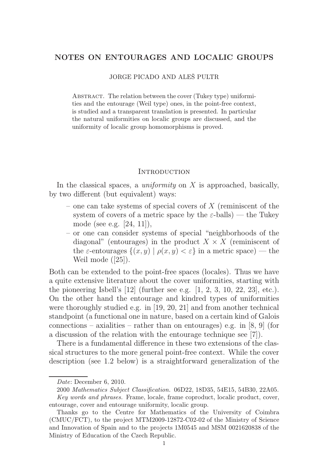# NOTES ON ENTOURAGES AND LOCALIC GROUPS

JORGE PICADO AND ALEŠ PULTR

ABSTRACT. The relation between the cover (Tukey type) uniformities and the entourage (Weil type) ones, in the point-free context, is studied and a transparent translation is presented. In particular the natural uniformities on localic groups are discussed, and the uniformity of localic group homomorphisms is proved.

### **INTRODUCTION**

In the classical spaces, a *uniformity* on  $X$  is approached, basically, by two different (but equivalent) ways:

- one can take systems of special covers of  $X$  (reminiscent of the system of covers of a metric space by the  $\varepsilon$ -balls) — the Tukey mode (see e.g. [24, 11]),
- or one can consider systems of special "neighborhoods of the diagonal" (entourages) in the product  $X \times X$  (reminiscent of the  $\varepsilon$ -entourages  $\{(x, y) | \rho(x, y) < \varepsilon\}$  in a metric space) — the Weil mode ([25]).

Both can be extended to the point-free spaces (locales). Thus we have a quite extensive literature about the cover uniformities, starting with the pioneering Isbell's  $[12]$  (further see e.g.  $[1, 2, 3, 10, 22, 23]$ , etc.). On the other hand the entourage and kindred types of uniformities were thoroughly studied e.g. in [19, 20, 21] and from another technical standpoint (a functional one in nature, based on a certain kind of Galois connections – axialities – rather than on entourages) e.g. in [8, 9] (for a discussion of the relation with the entourage technique see [7]).

There is a fundamental difference in these two extensions of the classical structures to the more general point-free context. While the cover description (see 1.2 below) is a straightforward generalization of the

Date: December 6, 2010.

<sup>2000</sup> Mathematics Subject Classification. 06D22, 18D35, 54E15, 54B30, 22A05. Key words and phrases. Frame, locale, frame coproduct, localic product, cover, entourage, cover and entourage uniformity, localic group.

Thanks go to the Centre for Mathematics of the University of Coimbra (CMUC/FCT), to the project MTM2009-12872-C02-02 of the Ministry of Science and Innovation of Spain and to the projects 1M0545 and MSM 0021620838 of the Ministry of Education of the Czech Republic.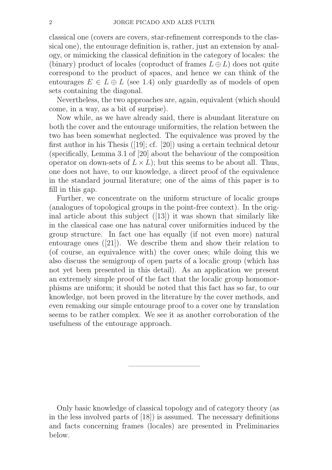classical one (covers are covers, star-refinement corresponds to the classical one), the entourage definition is, rather, just an extension by analogy, or mimicking the classical definition in the category of locales: the (binary) product of locales (coproduct of frames  $L \oplus L$ ) does not quite correspond to the product of spaces, and hence we can think of the entourages  $E \in L \oplus L$  (see 1.4) only guardedly as of models of open sets containing the diagonal.

Nevertheless, the two approaches are, again, equivalent (which should come, in a way, as a bit of surprise).

Now while, as we have already said, there is abundant literature on both the cover and the entourage uniformities, the relation between the two has been somewhat neglected. The equivalence was proved by the first author in his Thesis ([19]; cf. [20]) using a certain technical detour (specifically, Lemma 3.1 of [20] about the behaviour of the composition operator on down-sets of  $L \times L$ ); but this seems to be about all. Thus, one does not have, to our knowledge, a direct proof of the equivalence in the standard journal literature; one of the aims of this paper is to fill in this gap.

Further, we concentrate on the uniform structure of localic groups (analogues of topological groups in the point-free context). In the original article about this subject ([13]) it was shown that similarly like in the classical case one has natural cover uniformities induced by the group structure. In fact one has equally (if not even more) natural entourage ones ([21]). We describe them and show their relation to (of course, an equivalence with) the cover ones; while doing this we also discuss the semigroup of open parts of a localic group (which has not yet been presented in this detail). As an application we present an extremely simple proof of the fact that the localic group homomorphisms are uniform; it should be noted that this fact has so far, to our knowledge, not been proved in the literature by the cover methods, and even remaking our simple entourage proof to a cover one by translation seems to be rather complex. We see it as another corroboration of the usefulness of the entourage approach.

Only basic knowledge of classical topology and of category theory (as in the less involved parts of [18]) is assumed. The necessary definitions and facts concerning frames (locales) are presented in Preliminaries below.

—————————–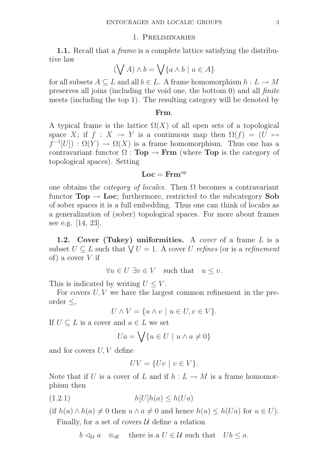# 1. Preliminaries

1.1. Recall that a frame is a complete lattice satisfying the distributive law

$$
(\bigvee A) \wedge b = \bigvee \{a \wedge b \mid a \in A\}
$$

for all subsets  $A \subseteq L$  and all  $b \in L$ . A frame homomorphism  $h: L \to M$ preserves all joins (including the void one, the bottom 0) and all finite meets (including the top 1). The resulting category will be denoted by

### Frm.

A typical frame is the lattice  $\Omega(X)$  of all open sets of a topological space X; if  $f : X \to Y$  is a continuous map then  $\Omega(f) = (U \mapsto$  $f^{-1}[U]$ :  $\Omega(Y) \to \Omega(X)$  is a frame homomorphism. Thus one has a contravariant functor  $\Omega$ : **Top**  $\rightarrow$  **Frm** (where **Top** is the category of topological spaces). Setting

# $Loc =$  Frm<sup>op</sup>

one obtains the *category of locales*. Then  $\Omega$  becomes a contravariant functor  $Top \rightarrow Loc$ ; furthermore, restricted to the subcategory Sob of sober spaces it is a full embedding. Thus one can think of locales as a generalization of (sober) topological spaces. For more about frames see e.g. [14, 23].

1.2. Cover (Tukey) uniformities. A cover of a frame  $L$  is a subset  $U \subseteq L$  such that  $\bigvee U = 1$ . A cover U refines (or is a refinement of) a cover  $V$  if

$$
\forall u \in U \; \exists v \in V \quad \text{such that} \quad u \le v.
$$

This is indicated by writing  $U \leq V$ .

For covers  $U, V$  we have the largest common refinement in the preorder  $\leq$ ,

 $U \wedge V = \{u \wedge v \mid u \in U, v \in V\}.$ 

If  $U \subseteq L$  is a cover and  $a \in L$  we set

$$
Ua = \bigvee \{ u \in U \mid u \wedge a \neq 0 \}
$$

and for covers U, V define

$$
UV = \{Uv \mid v \in V\}.
$$

Note that if U is a cover of L and if  $h: L \to M$  is a frame homomorphism then

$$
(1.2.1) \t\t\t h[U]h(a) \le h(Ua)
$$

(if  $h(u) \wedge h(a) \neq 0$  then  $u \wedge a \neq 0$  and hence  $h(u) \leq h(Ua)$  for  $u \in U$ ). Finally, for a set of covers  $U$  define a relation

$$
b \leq_{\mathcal{U}} a \equiv_{df} \text{ there is a } U \in \mathcal{U} \text{ such that } Ub \leq a.
$$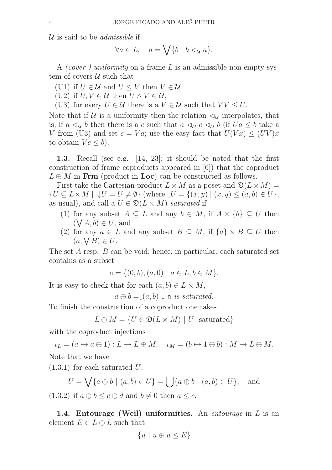U is said to be *admissible* if

$$
\forall a \in L, \quad a = \bigvee \{b \mid b \triangleleft_{\mathcal{U}} a\}.
$$

A (cover-) uniformity on a frame L is an admissible non-empty system of covers  $\mathcal U$  such that

(U1) if  $U \in \mathcal{U}$  and  $U \leq V$  then  $V \in \mathcal{U}$ ,

(U2) if  $U, V \in \mathcal{U}$  then  $U \wedge V \in \mathcal{U}$ ,

(U3) for every  $U \in \mathcal{U}$  there is a  $V \in \mathcal{U}$  such that  $VV \leq U$ .

Note that if U is a uniformity then the relation  $\mathcal{A}_U$  interpolates, that is, if a  $\lhd_{\mathcal{U}} b$  then there is a c such that  $a \lhd_{\mathcal{U}} c \lhd_{\mathcal{U}} b$  (if  $Ua \leq b$  take a V from (U3) and set  $c = Va$ ; use the easy fact that  $U(Vx) \leq (UV)x$ to obtain  $V_c \leq b$ ).

1.3. Recall (see e.g. [14, 23]; it should be noted that the first construction of frame coproducts appeared in [6]) that the coproduct  $L \oplus M$  in Frm (product in Loc) can be constructed as follows.

First take the Cartesian product  $L \times M$  as a poset and  $\mathfrak{D}(L \times M) =$  $\{U \subseteq L \times M \mid U = U \neq \emptyset\}$  (where  $\{U = \{(x, y) \mid (x, y) \leq (a, b) \in U\},\$ as usual), and call a  $U \in \mathfrak{D}(L \times M)$  saturated if

- (1) for any subset  $A \subseteq L$  and any  $b \in M$ , if  $A \times \{b\} \subseteq U$  then  $(\bigvee A, \check{b}) \in U$ , and
- (2) for any  $a \in L$  and any subset  $B \subseteq M$ , if  $\{a\} \times B \subseteq U$  then  $(a, \bigvee B) \in U.$

The set A resp. B can be void; hence, in particular, each saturated set contains as a subset

$$
\mathsf{n} = \{(0, b), (a, 0) \mid a \in L, b \in M\}.
$$

It is easy to check that for each  $(a, b) \in L \times M$ ,

 $a \oplus b = \downarrow (a, b) \cup n$  is saturated.

To finish the construction of a coproduct one takes

$$
L \oplus M = \{ U \in \mathfrak{D}(L \times M) \mid U \text{ saturated} \}
$$

with the coproduct injections

 $\iota_L = (a \mapsto a \oplus 1) : L \to L \oplus M, \quad \iota_M = (b \mapsto 1 \oplus b) : M \to L \oplus M.$ Note that we have

 $(1.3.1)$  for each saturated U,

$$
U = \bigvee \{a \oplus b \mid (a, b) \in U\} = \bigcup \{a \oplus b \mid (a, b) \in U\}, \text{ and}
$$

 $(1.3.2)$  if  $a \oplus b \leq c \oplus d$  and  $b \neq 0$  then  $a \leq c$ .

1.4. Entourage (Weil) uniformities. An entourage in  $L$  is an element  $E \in L \oplus L$  such that

$$
\{u \mid u \oplus u \le E\}
$$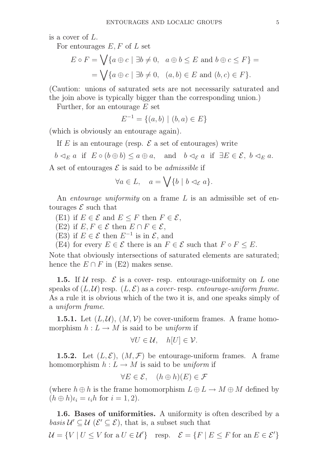is a cover of L.

For entourages  $E, F$  of  $L$  set

$$
E \circ F = \bigvee \{ a \oplus c \mid \exists b \neq 0, \ a \oplus b \leq E \text{ and } b \oplus c \leq F \} =
$$
  
= 
$$
\bigvee \{ a \oplus c \mid \exists b \neq 0, \ (a, b) \in E \text{ and } (b, c) \in F \}.
$$

(Caution: unions of saturated sets are not necessarily saturated and the join above is typically bigger than the corresponding union.)

Further, for an entourage  $E$  set

$$
E^{-1} = \{(a, b) \mid (b, a) \in E\}
$$

(which is obviously an entourage again).

If E is an entourage (resp.  $\mathcal E$  a set of entourages) write

 $b \leq_E a$  if  $E \circ (b \oplus b) \leq a \oplus a$ , and  $b \leq_{\mathcal{E}} a$  if  $\exists E \in \mathcal{E}, b \leq_E a$ .

A set of entourages  $\mathcal E$  is said to be *admissible* if

$$
\forall a \in L, \quad a = \bigvee \{b \mid b \lhd_{\mathcal{E}} a\}.
$$

An *entourage uniformity* on a frame L is an admissible set of entourages  $\mathcal E$  such that

(E1) if  $E \in \mathcal{E}$  and  $E \leq F$  then  $F \in \mathcal{E}$ ,

(E2) if  $E, F \in \mathcal{E}$  then  $E \cap F \in \mathcal{E}$ ,

(E3) if  $E \in \mathcal{E}$  then  $E^{-1}$  is in  $\mathcal{E}$ , and

(E4) for every  $E \in \mathcal{E}$  there is an  $F \in \mathcal{E}$  such that  $F \circ F \leq E$ .

Note that obviously intersections of saturated elements are saturated; hence the  $E \cap F$  in (E2) makes sense.

**1.5.** If U resp.  $\mathcal{E}$  is a cover- resp. entourage-uniformity on L one speaks of  $(L, \mathcal{U})$  resp.  $(L, \mathcal{E})$  as a cover-resp. entourage-uniform frame. As a rule it is obvious which of the two it is, and one speaks simply of a uniform frame.

**1.5.1.** Let  $(L, \mathcal{U})$ ,  $(M, \mathcal{V})$  be cover-uniform frames. A frame homomorphism  $h: L \to M$  is said to be uniform if

$$
\forall U \in \mathcal{U}, \quad h[U] \in \mathcal{V}.
$$

**1.5.2.** Let  $(L, \mathcal{E})$ ,  $(M, \mathcal{F})$  be entourage-uniform frames. A frame homomorphism  $h: L \to M$  is said to be uniform if

$$
\forall E \in \mathcal{E}, \quad (h \oplus h)(E) \in \mathcal{F}
$$

(where  $h \oplus h$  is the frame homomorphism  $L \oplus L \to M \oplus M$  defined by  $(h \oplus h)\iota_i = \iota_i h$  for  $i = 1, 2$ ).

1.6. Bases of uniformities. A uniformity is often described by a basis  $\mathcal{U}' \subseteq \mathcal{U}$  ( $\mathcal{E}' \subseteq \mathcal{E}$ ), that is, a subset such that  $\mathcal{U} = \{V | U \leq V \text{ for a } U \in \mathcal{U}'\}$  resp.  $\mathcal{E} = \{F | E \leq F \text{ for an } E \in \mathcal{E}'\}$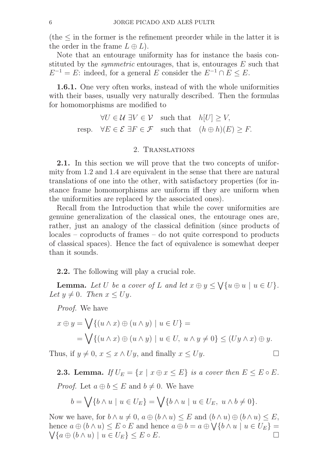(the  $\leq$  in the former is the refinement preorder while in the latter it is the order in the frame  $L \oplus L$ .

Note that an entourage uniformity has for instance the basis constituted by the *symmetric* entourages, that is, entourages  $E$  such that  $E^{-1} = E$ : indeed, for a general E consider the  $E^{-1} \cap E \leq E$ .

1.6.1. One very often works, instead of with the whole uniformities with their bases, usually very naturally described. Then the formulas for homomorphisms are modified to

> $\forall U \in \mathcal{U} \exists V \in \mathcal{V} \text{ such that } h[U] \geq V,$ resp.  $\forall E \in \mathcal{E} \exists F \in \mathcal{F}$  such that  $(h \oplus h)(E) \geq F$ .

## 2. Translations

2.1. In this section we will prove that the two concepts of uniformity from 1.2 and 1.4 are equivalent in the sense that there are natural translations of one into the other, with satisfactory properties (for instance frame homomorphisms are uniform iff they are uniform when the uniformities are replaced by the associated ones).

Recall from the Introduction that while the cover uniformities are genuine generalization of the classical ones, the entourage ones are, rather, just an analogy of the classical definition (since products of locales – coproducts of frames – do not quite correspond to products of classical spaces). Hence the fact of equivalence is somewhat deeper than it sounds.

2.2. The following will play a crucial role.

**Lemma.** Let U be a cover of L and let  $x \oplus y \leq \bigvee \{u \oplus u \mid u \in U\}$ . Let  $y \neq 0$ . Then  $x \leq Uy$ .

Proof. We have

$$
x \oplus y = \bigvee \{ (u \wedge x) \oplus (u \wedge y) \mid u \in U \} =
$$
  
= 
$$
\bigvee \{ (u \wedge x) \oplus (u \wedge y) \mid u \in U, u \wedge y \neq 0 \} \leq (Uy \wedge x) \oplus y.
$$

Thus, if  $y \neq 0$ ,  $x \leq x \wedge Uy$ , and finally  $x \leq Uy$ .

**2.3. Lemma.** If  $U_E = \{x \mid x \oplus x \leq E\}$  is a cover then  $E \leq E \circ E$ . *Proof.* Let  $a \oplus b \leq E$  and  $b \neq 0$ . We have

$$
b = \bigvee \{b \wedge u \mid u \in U_E\} = \bigvee \{b \wedge u \mid u \in U_E, u \wedge b \neq 0\}.
$$

Now we have, for  $b \wedge u \neq 0$ ,  $a \oplus (b \wedge u) \leq E$  and  $(b \wedge u) \oplus (b \wedge u) \leq E$ , hence  $a \oplus (b \wedge u) \leq E \circ E$  and hence  $a \oplus b = a \oplus \bigvee \{b \wedge u \mid u \in U_E\} = \bigvee \{a \oplus (b \wedge u) \mid u \in U_E\} \leq E \circ E$  $\bigvee \{a \oplus (b \wedge u) \mid u \in U_E\} \leq E \circ E.$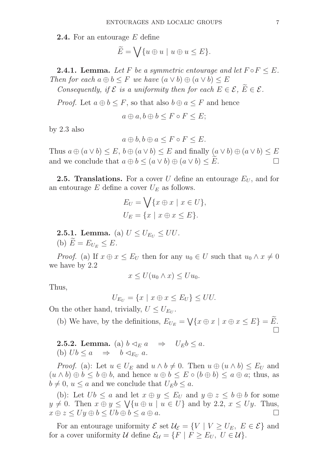2.4. For an entourage E define

$$
\widetilde{E} = \bigvee \{ u \oplus u \mid u \oplus u \le E \}.
$$

**2.4.1. Lemma.** Let F be a symmetric entourage and let  $F \circ F \leq E$ . Then for each  $a \oplus b \leq F$  we have  $(a \vee b) \oplus (a \vee b) \leq E$ 

Consequently, if  $\mathcal E$  is a uniformity then for each  $E \in \mathcal E$ ,  $\widetilde E \in \mathcal E$ .

*Proof.* Let  $a \oplus b \leq F$ , so that also  $b \oplus a \leq F$  and hence

$$
a \oplus a, b \oplus b \le F \circ F \le E;
$$

by 2.3 also

$$
a \oplus b, b \oplus a \le F \circ F \le E.
$$

Thus  $a \oplus (a \vee b) \leq E$ ,  $b \oplus (a \vee b) \leq E$  and finally  $(a \vee b) \oplus (a \vee b) \leq E$ and we conclude that  $a \oplus b \leq (a \vee b) \oplus (a \vee b) \leq \widetilde{E}$ .

**2.5. Translations.** For a cover U define an entourage  $E_U$ , and for an entourage  $E$  define a cover  $U_E$  as follows.

$$
E_U = \bigvee \{ x \oplus x \mid x \in U \},
$$
  

$$
U_E = \{ x \mid x \oplus x \le E \}.
$$

**2.5.1. Lemma.** (a)  $U \leq U_{E_U} \leq UU$ . (b)  $\widetilde{E} = E_{U_E} \leq E$ .

*Proof.* (a) If  $x \oplus x \leq E_U$  then for any  $u_0 \in U$  such that  $u_0 \wedge x \neq 0$ we have by 2.2

$$
x \le U(u_0 \wedge x) \le Uu_0.
$$

Thus,

$$
U_{E_U} = \{x \mid x \oplus x \le E_U\} \le UU.
$$

On the other hand, trivially,  $U \leq U_{E_U}$ .

(b) We have, by the definitions,  $E_{U_E} = \bigvee \{ x \oplus x \mid x \oplus x \le E \} = \widetilde{E}$ .  $\Box$ 

**2.5.2. Lemma.** (a)  $b \triangleleft_E a \Rightarrow U_E b \leq a$ . (b)  $Ub \le a \Rightarrow b \triangleleft_{E_U} a$ .

*Proof.* (a): Let  $u \in U_E$  and  $u \wedge b \neq 0$ . Then  $u \oplus (u \wedge b) \leq E_U$  and  $(u \wedge b) \oplus b \leq b \oplus b$ , and hence  $u \oplus b \leq E \circ (b \oplus b) \leq a \oplus a$ ; thus, as  $b \neq 0, u \leq a$  and we conclude that  $U_E b \leq a$ .

(b): Let  $Ub \leq a$  and let  $x \oplus y \leq E_U$  and  $y \oplus z \leq b \oplus b$  for some  $y \neq 0$ . Then  $x \oplus y \leq \bigvee \{u \oplus u \mid u \in U\}$  and by 2.2,  $x \leq Uy$ . Thus,  $x \oplus z \le Uy \oplus b \le Ub \oplus b \le a \oplus a.$ 

For an entourage uniformity  $\mathcal{E}$  set  $\mathcal{U}_{\mathcal{E}} = \{V \mid V \geq U_E, E \in \mathcal{E}\}\$ and for a cover uniformity U define  $\mathcal{E}_{\mathcal{U}} = \{F \mid F \ge E_U, U \in \mathcal{U}\}.$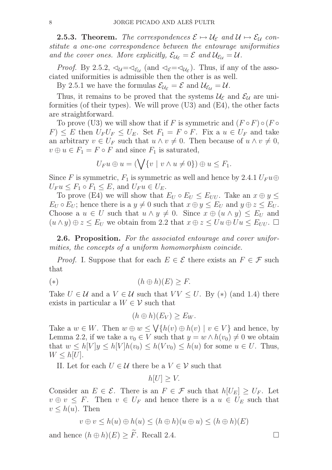**2.5.3. Theorem.** The correspondences  $\mathcal{E} \mapsto \mathcal{U}_{\mathcal{E}}$  and  $\mathcal{U} \mapsto \mathcal{E}_{\mathcal{U}}$  constitute a one-one correspondence between the entourage uniformities and the cover ones. More explicitly,  $\mathcal{E}_{\mathcal{U}_{\mathcal{E}}} = \mathcal{E}$  and  $\mathcal{U}_{\mathcal{E}_{\mathcal{U}}} = \mathcal{U}$ .

*Proof.* By 2.5.2,  $\triangleleft_{\mathcal{U}} = \triangleleft_{\mathcal{E}_{\mathcal{U}}}$  (and  $\triangleleft_{\mathcal{E}} = \triangleleft_{\mathcal{U}_{\mathcal{E}}}$ ). Thus, if any of the associated uniformities is admissible then the other is as well.

By 2.5.1 we have the formulas  $\mathcal{E}_{\mathcal{U}_{\mathcal{E}}} = \mathcal{E}$  and  $\mathcal{U}_{\mathcal{E}_{\mathcal{U}}} = \mathcal{U}$ .

Thus, it remains to be proved that the systems  $\mathcal{U}_{\mathcal{E}}$  and  $\mathcal{E}_{\mathcal{U}}$  are uniformities (of their types). We will prove (U3) and (E4), the other facts are straightforward.

To prove (U3) we will show that if F is symmetric and  $(F \circ F) \circ (F \circ F)$  $F \leq E$  then  $U_F U_F \leq U_F$ . Set  $F_1 = F \circ F$ . Fix a  $u \in U_F$  and take an arbitrary  $v \in U_F$  such that  $u \wedge v \neq 0$ . Then because of  $u \wedge v \neq 0$ ,  $v \oplus u \in F_1 = F \circ F$  and since  $F_1$  is saturated,

$$
U_Fu \oplus u = (\bigvee \{v \mid v \wedge u \neq 0\}) \oplus u \leq F_1.
$$

Since F is symmetric,  $F_1$  is symmetric as well and hence by 2.4.1  $U_F u \oplus$  $U_F u \leq F_1 \circ F_1 \leq E$ , and  $U_F u \in U_F$ .

To prove (E4) we will show that  $E_U \circ E_U \leq E_{UU}$ . Take an  $x \oplus y \leq$  $E_U \circ E_U$ ; hence there is a  $y \neq 0$  such that  $x \oplus y \leq E_U$  and  $y \oplus z \leq E_U$ . Choose a  $u \in U$  such that  $u \wedge y \neq 0$ . Since  $x \oplus (u \wedge y) \leq E_U$  and  $(u \wedge y) \oplus z \leq E_U$  we obtain from 2.2 that  $x \oplus z \leq U u \oplus U u \leq E_{UU}$ .

2.6. Proposition. For the associated entourage and cover uniformities, the concepts of a uniform homomorphism coincide.

*Proof.* I. Suppose that for each  $E \in \mathcal{E}$  there exists an  $F \in \mathcal{F}$  such that

$$
(*)\qquad \qquad (h \oplus h)(E) \geq F.
$$

Take  $U \in \mathcal{U}$  and a  $V \in \mathcal{U}$  such that  $VV \leq U$ . By  $(*)$  (and 1.4) there exists in particular a  $W \in \mathcal{V}$  such that

$$
(h \oplus h)(E_V) \ge E_W.
$$

Take a  $w \in W$ . Then  $w \oplus w \leq \bigvee \{h(v) \oplus h(v) \mid v \in V\}$  and hence, by Lemma 2.2, if we take a  $v_0 \in V$  such that  $y = w \wedge h(v_0) \neq 0$  we obtain that  $w \le h[V]y \le h[V]h(v_0) \le h(Vv_0) \le h(u)$  for some  $u \in U$ . Thus,  $W \leq h[U].$ 

II. Let for each  $U \in \mathcal{U}$  there be a  $V \in \mathcal{V}$  such that

$$
h[U] \geq V.
$$

Consider an  $E \in \mathcal{E}$ . There is an  $F \in \mathcal{F}$  such that  $h[U_E] \geq U_F$ . Let  $v \oplus v \leq F$ . Then  $v \in U_F$  and hence there is a  $u \in U_F$  such that  $v \leq h(u)$ . Then

$$
v \oplus v \le h(u) \oplus h(u) \le (h \oplus h)(u \oplus u) \le (h \oplus h)(E)
$$

and hence  $(h \oplus h)(E) \geq \widetilde{F}$ . Recall 2.4.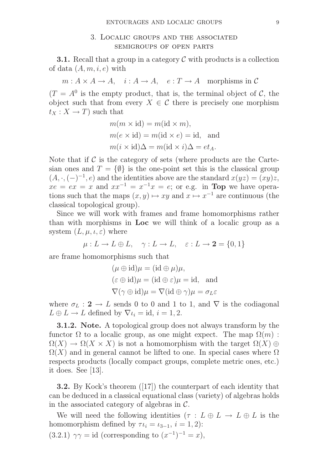# 3. Localic groups and the associated semigroups of open parts

**3.1.** Recall that a group in a category  $\mathcal C$  with products is a collection of data  $(A, m, i, e)$  with

 $m : A \times A \to A$ ,  $i : A \to A$ ,  $e : T \to A$  morphisms in C

 $(T = A^0)$  is the empty product, that is, the terminal object of C, the object such that from every  $X \in \mathcal{C}$  there is precisely one morphism  $t_X: X \to T$  such that

$$
m(m \times id) = m(id \times m),
$$
  
\n
$$
m(e \times id) = m(id \times e) = id, \text{ and}
$$
  
\n
$$
m(i \times id)\Delta = m(id \times i)\Delta = et_A.
$$

Note that if  $\mathcal C$  is the category of sets (where products are the Cartesian ones and  $T = \{\emptyset\}$  is the one-point set this is the classical group  $(A, \cdot, (-)^{-1}, e)$  and the identities above are the standard  $x(yz) = (xy)z$ ,  $xe = ex = x$  and  $xx^{-1} = x^{-1}x = e$ ; or e.g. in **Top** we have operations such that the maps  $(x, y) \mapsto xy$  and  $x \mapsto x^{-1}$  are continuous (the classical topological group).

Since we will work with frames and frame homomorphisms rather than with morphisms in Loc we will think of a localic group as a system  $(L, \mu, \iota, \varepsilon)$  where

$$
\mu: L \to L \oplus L, \quad \gamma: L \to L, \quad \varepsilon: L \to \mathbf{2} = \{0, 1\}
$$

are frame homomorphisms such that

$$
(\mu \oplus id)\mu = (id \oplus \mu)\mu,
$$
  

$$
(\varepsilon \oplus id)\mu = (id \oplus \varepsilon)\mu = id, \text{ and}
$$
  

$$
\nabla(\gamma \oplus id)\mu = \nabla(id \oplus \gamma)\mu = \sigma_L \varepsilon
$$

where  $\sigma_L : \mathbf{2} \to L$  sends 0 to 0 and 1 to 1, and  $\nabla$  is the codiagonal  $L \oplus L \to L$  defined by  $\nabla \iota_i = id, i = 1, 2$ .

3.1.2. Note. A topological group does not always transform by the functor  $\Omega$  to a localic group, as one might expect. The map  $\Omega(m)$ :  $\Omega(X) \to \Omega(X \times X)$  is not a homomorphism with the target  $\Omega(X) \oplus$  $\Omega(X)$  and in general cannot be lifted to one. In special cases where  $\Omega$ respects products (locally compact groups, complete metric ones, etc.) it does. See [13].

3.2. By Kock's theorem ([17]) the counterpart of each identity that can be deduced in a classical equational class (variety) of algebras holds in the associated category of algebras in  $\mathcal{C}$ .

We will need the following identities  $(\tau : L \oplus L \to L \oplus L$  is the homomorphism defined by  $\tau \iota_i = \iota_{3-1}, i = 1, 2$ :

 $(3.2.1)$   $\gamma\gamma = id$  (corresponding to  $(x^{-1})^{-1} = x$ ),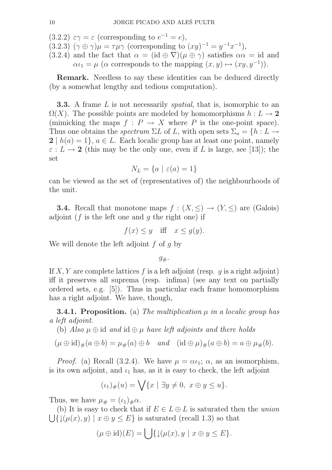(3.2.2)  $\varepsilon \gamma = \varepsilon$  (corresponding to  $e^{-1} = e$ ),

 $(3.2.3)$   $(\gamma \oplus \gamma)\mu = \tau\mu\gamma$  (corresponding to  $(xy)^{-1} = y^{-1}x^{-1}$ ),

(3.2.4) and the fact that  $\alpha = (\mathrm{id} \oplus \nabla)(\mu \oplus \gamma)$  satisfies  $\alpha \alpha = \mathrm{id}$  and  $\alpha \iota_1 = \mu$  ( $\alpha$  corresponds to the mapping  $(x, y) \mapsto (xy, y^{-1})$ ).

Remark. Needless to say these identities can be deduced directly (by a somewhat lengthy and tedious computation).

**3.3.** A frame L is not necessarily *spatial*, that is, isomorphic to an  $\Omega(X)$ . The possible points are modeled by homomorphisms  $h: L \to \mathbf{2}$ (mimicking the maps  $f : P \to X$  where P is the one-point space). Thus one obtains the *spectrum*  $\Sigma L$  of L, with open sets  $\Sigma_a = \{h : L \to L\}$  $2 | h(a) = 1$ ,  $a \in L$ . Each localic group has at least one point, namely  $\varepsilon : L \to 2$  (this may be the only one, even if L is large, see [13]); the set

$$
N_L = \{a \mid \varepsilon(a) = 1\}
$$

can be viewed as the set of (representatives of) the neighbourhoods of the unit.

**3.4.** Recall that monotone maps  $f : (X, \leq) \to (Y, \leq)$  are (Galois) adjoint ( $f$  is the left one and  $q$  the right one) if

$$
f(x) \leq y
$$
 iff  $x \leq g(y)$ .

We will denote the left adjoint  $f$  of  $q$  by

 $g_{\#}.$ 

If X, Y are complete lattices f is a left adjoint (resp. q is a right adjoint) iff it preserves all suprema (resp. infima) (see any text on partially ordered sets, e.g. [5]). Thus in particular each frame homomorphism has a right adjoint. We have, though,

**3.4.1. Proposition.** (a) The multiplication  $\mu$  in a localic group has a left adjoint.

(b) Also  $\mu \oplus id$  and  $id \oplus \mu$  have left adjoints and there holds

 $(\mu \oplus id)_\#(a \oplus b) = \mu_\#(a) \oplus b \quad and \quad (id \oplus \mu)_\#(a \oplus b) = a \oplus \mu_\#(b).$ 

*Proof.* (a) Recall (3.2.4). We have  $\mu = \alpha \iota_1$ ;  $\alpha$ , as an isomorphism, is its own adjoint, and  $\iota_1$  has, as it is easy to check, the left adjoint

$$
(\iota_1)_\#(u) = \bigvee \{ x \mid \exists y \neq 0, \ x \oplus y \le u \}.
$$

Thus, we have  $\mu_{\#} = (\iota_1)_{\#}\alpha$ .

(b) It is easy to check that if  $E \in L \oplus L$  is saturated then the union  $\bigcup \{\downarrow (\mu(x), y) \mid x \oplus y \leq E\}$  is saturated (recall 1.3) so that

$$
(\mu \oplus id)(E) = \bigcup \{ \downarrow (\mu(x), y \mid x \oplus y \le E \}.
$$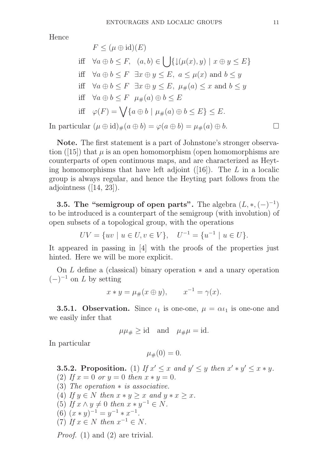Hence

$$
F \leq (\mu \oplus id)(E)
$$
  
iff  $\forall a \oplus b \leq F, \quad (a, b) \in \bigcup \{ \downarrow (\mu(x), y) \mid x \oplus y \leq E \}$   
iff  $\forall a \oplus b \leq F \exists x \oplus y \leq E, \ a \leq \mu(x) \text{ and } b \leq y$   
iff  $\forall a \oplus b \leq F \exists x \oplus y \leq E, \ \mu_{\#}(a) \leq x \text{ and } b \leq y$   
iff  $\forall a \oplus b \leq F \ \mu_{\#}(a) \oplus b \leq E$   
iff  $\varphi(F) = \bigvee \{a \oplus b \mid \mu_{\#}(a) \oplus b \leq E \} \leq E$ .  
In particular  $(\mu \oplus id)_{\#}(a \oplus b) = \varphi(a \oplus b) = \mu_{\#}(a) \oplus b$ .  $\square$ 

Note. The first statement is a part of Johnstone's stronger observation ([15]) that  $\mu$  is an open homomorphism (open homomorphisms are counterparts of open continuous maps, and are characterized as Heyting homomorphisms that have left adjoint  $([16])$ . The L in a localic group is always regular, and hence the Heyting part follows from the adjointness  $([14, 23])$ .

**3.5. The "semigroup of open parts".** The algebra  $(L, *, (-)^{-1})$ to be introduced is a counterpart of the semigroup (with involution) of open subsets of a topological group, with the operations

$$
UV = \{uv \mid u \in U, v \in V\}, \quad U^{-1} = \{u^{-1} \mid u \in U\}.
$$

It appeared in passing in [4] with the proofs of the properties just hinted. Here we will be more explicit.

On L define a (classical) binary operation ∗ and a unary operation  $(-)^{-1}$  on L by setting

$$
x * y = \mu_{\#}(x \oplus y), \qquad x^{-1} = \gamma(x).
$$

**3.5.1. Observation.** Since  $\iota_1$  is one-one,  $\mu = \alpha \iota_1$  is one-one and we easily infer that

 $\mu\mu_{\#} \geq id$  and  $\mu_{\#}\mu = id$ .

In particular

 $\mu_{\#}(0) = 0.$ 

**3.5.2. Proposition.** (1) If  $x' \leq x$  and  $y' \leq y$  then  $x' * y' \leq x * y$ . (2) If  $x = 0$  or  $y = 0$  then  $x * y = 0$ .

- (3) The operation  $*$  is associative.
- (4) If  $y \in N$  then  $x * y \geq x$  and  $y * x \geq x$ .
- (5) If  $x \wedge y \neq 0$  then  $x * y^{-1} \in N$ .
- (6)  $(x * y)^{-1} = y^{-1} * x^{-1}$ .
- (7) If  $x \in N$  then  $x^{-1} \in N$ .

Proof. (1) and (2) are trivial.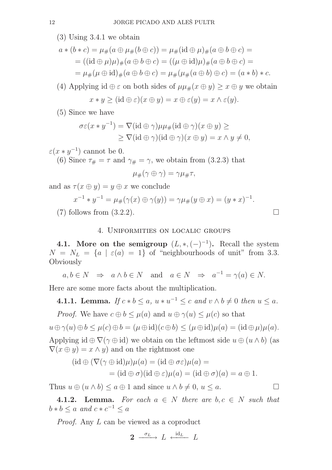(3) Using 3.4.1 we obtain

$$
a * (b * c) = \mu_{\#}(a \oplus \mu_{\#}(b \oplus c)) = \mu_{\#}(\text{id} \oplus \mu)_{\#}(a \oplus b \oplus c) =
$$
  
= ((id  $\oplus \mu)\mu$ )<sub>#</sub>( $a \oplus b \oplus c$ ) = (( $\mu \oplus \text{id})\mu$ )<sub>#</sub>( $a \oplus b \oplus c$ ) =  
=  $\mu_{\#}(\mu \oplus \text{id})_{\#}(a \oplus b \oplus c) = \mu_{\#}(\mu_{\#}(a \oplus b) \oplus c) = (a * b) * c.$ 

(4) Applying id  $\oplus \varepsilon$  on both sides of  $\mu\mu \#(x \oplus y) \geq x \oplus y$  we obtain

$$
x * y \geq (id \oplus \varepsilon)(x \oplus y) = x \oplus \varepsilon(y) = x \wedge \varepsilon(y).
$$

(5) Since we have

$$
\sigma\varepsilon(x*y^{-1}) = \nabla(\mathrm{id}\oplus\gamma)\mu\mu_{\#}(\mathrm{id}\oplus\gamma)(x\oplus y) \ge
$$
  
 
$$
\geq \nabla(\mathrm{id}\oplus\gamma)(\mathrm{id}\oplus\gamma)(x\oplus y) = x\wedge y \neq 0,
$$

 $\varepsilon(x*y^{-1})$  cannot be 0.

(6) Since  $\tau_{\#} = \tau$  and  $\gamma_{\#} = \gamma$ , we obtain from (3.2.3) that

$$
\mu_\#(\gamma\oplus\gamma)=\gamma\mu_\#\tau,
$$

and as  $\tau(x \oplus y) = y \oplus x$  we conclude

$$
x^{-1} * y^{-1} = \mu_{\#}(\gamma(x) \oplus \gamma(y)) = \gamma \mu_{\#}(y \oplus x) = (y * x)^{-1}
$$

(7) follows from  $(3.2.2)$ .

# 4. Uniformities on localic groups

**4.1.** More on the semigroup  $(L, *, (-)^{-1})$ . Recall the system  $N = N_L = \{a \mid \varepsilon(a) = 1\}$  of "neighbourhoods of unit" from 3.3. **Obviously** 

$$
a, b \in N \Rightarrow a \wedge b \in N
$$
 and  $a \in N \Rightarrow a^{-1} = \gamma(a) \in N$ .

Here are some more facts about the multiplication.

**4.1.1. Lemma.** If  $c * b \le a$ ,  $u * u^{-1} \le c$  and  $v \wedge b \ne 0$  then  $u \le a$ .

*Proof.* We have  $c \oplus b \leq \mu(a)$  and  $u \oplus \gamma(u) \leq \mu(c)$  so that

$$
u \oplus \gamma(u) \oplus b \le \mu(c) \oplus b = (\mu \oplus id)(c \oplus b) \le (\mu \oplus id)\mu(a) = (id \oplus \mu)\mu(a).
$$

Applying id  $\oplus \nabla(\gamma \oplus id)$  we obtain on the leftmost side  $u \oplus (u \wedge b)$  (as  $\nabla(x \oplus y) = x \wedge y$  and on the rightmost one

$$
(\mathrm{id} \oplus (\nabla(\gamma \oplus \mathrm{id})\mu)\mu(a) = (\mathrm{id} \oplus \sigma \varepsilon)\mu(a) =
$$
  
= 
$$
(\mathrm{id} \oplus \sigma)(\mathrm{id} \oplus \varepsilon)\mu(a) = (\mathrm{id} \oplus \sigma)(a) = a \oplus 1.
$$

Thus  $u \oplus (u \wedge b) \leq a \oplus 1$  and since  $u \wedge b \neq 0, u \leq a$ .

4.1.2. Lemma. For each  $a \in N$  there are  $b, c \in N$  such that  $b * b \leq a$  and  $c * c^{-1} \leq a$ 

Proof. Any L can be viewed as a coproduct

$$
2 \xrightarrow{\sigma_L} L \xleftarrow{\mathrm{id}_L} L
$$

.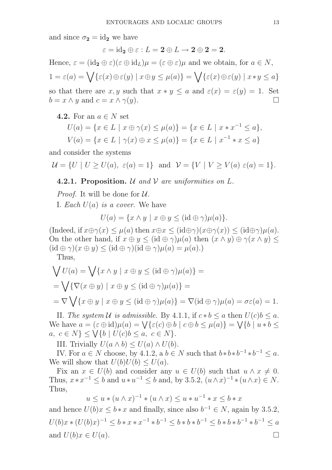and since  $\sigma_2 = id_2$  we have

$$
\varepsilon = \mathrm{id}_\mathbf{2} \oplus \varepsilon : L = \mathbf{2} \oplus L \to \mathbf{2} \oplus \mathbf{2} = \mathbf{2}.
$$

Hence,  $\varepsilon = (\mathrm{id}_2 \oplus \varepsilon)(\varepsilon \oplus \mathrm{id}_L)\mu = (\varepsilon \oplus \varepsilon)\mu$  and we obtain, for  $a \in N$ ,  $1 = \varepsilon(a) = \bigvee \{\varepsilon(x) \oplus \varepsilon(y) \mid x \oplus y \leq \mu(a)\} = \bigvee \{\varepsilon(x) \oplus \varepsilon(y) \mid x \ast y \leq a\}$ so that there are x, y such that  $x * y \leq a$  and  $\varepsilon(x) = \varepsilon(y) = 1$ . Set  $b = x \wedge y$  and  $c = x \wedge \gamma(y)$ .

4.2. For an  $a \in N$  set

$$
U(a) = \{x \in L \mid x \oplus \gamma(x) \le \mu(a)\} = \{x \in L \mid x * x^{-1} \le a\},\
$$
  

$$
V(a) = \{x \in L \mid \gamma(x) \oplus x \le \mu(a)\} = \{x \in L \mid x^{-1} * x \le a\}
$$

and consider the systems

$$
\mathcal{U} = \{ U \mid U \ge U(a), \ \varepsilon(a) = 1 \} \ \text{ and } \ \mathcal{V} = \{ V \mid V \ge V(a) \ \varepsilon(a) = 1 \}.
$$

## **4.2.1. Proposition.**  $\mathcal U$  and  $\mathcal V$  are uniformities on  $L$ .

*Proof.* It will be done for  $U$ .

I. Each  $U(a)$  is a cover. We have

$$
U(a) = \{x \wedge y \mid x \oplus y \leq (id \oplus \gamma)\mu(a)\}.
$$

(Indeed, if  $x \oplus \gamma(x) \leq \mu(a)$  then  $x \oplus x \leq (id \oplus \gamma)(x \oplus \gamma(x)) \leq (id \oplus \gamma)\mu(a)$ . On the other hand, if  $x \oplus y \leq (id \oplus \gamma)\mu(a)$  then  $(x \wedge y) \oplus \gamma(x \wedge y) \leq$  $(id \oplus \gamma)(x \oplus y) \leq (id \oplus \gamma)(id \oplus \gamma)\mu(a) = \mu(a).$ 

Thus,

$$
\bigvee U(a) = \bigvee \{x \wedge y \mid x \oplus y \leq (\text{id} \oplus \gamma)\mu(a)\} =
$$
  
= 
$$
\bigvee \{\nabla(x \oplus y) \mid x \oplus y \leq (\text{id} \oplus \gamma)\mu(a)\} =
$$
  
= 
$$
\nabla \bigvee \{x \oplus y \mid x \oplus y \leq (\text{id} \oplus \gamma)\mu(a)\} = \nabla(\text{id} \oplus \gamma)\mu(a) = \sigma\varepsilon(a) = 1.
$$

II. The system U is admissible. By 4.1.1, if  $c * b \le a$  then  $U(c)b \le a$ . We have  $a = (\varepsilon \oplus \mathrm{id})\mu(a) = \bigvee {\varepsilon(c) \oplus b \mid c \oplus b \leq \mu(a)} = \bigvee {\varepsilon(b) \mid u * b} \leq$  $a, c \in N$   $\leq \sqrt[n]{\{b \mid U(c)b \leq a, c \in N\}}.$ 

III. Trivially  $U(a \wedge b) \leq U(a) \wedge U(b)$ .

IV. For  $a \in N$  choose, by 4.1.2,  $a \mid b \in N$  such that  $b * b * b^{-1} * b^{-1} \leq a$ . We will show that  $U(b)U(b) \leq U(a)$ .

Fix an  $x \in U(b)$  and consider any  $u \in U(b)$  such that  $u \wedge x \neq 0$ . Thus,  $x * x^{-1} \le b$  and  $u * u^{-1} \le b$  and, by 3.5.2,  $(u \wedge x)^{-1} * (u \wedge x) \in N$ . Thus,

$$
u \le u * (u \wedge x)^{-1} * (u \wedge x) \le u * u^{-1} * x \le b * x
$$

and hence  $U(b)x \leq b*x$  and finally, since also  $b^{-1} \in N$ , again by 3.5.2,  $U(b)x * (U(b)x)^{-1} \leq b * x * x^{-1} * b^{-1} \leq b * b * b^{-1} \leq b * b * b^{-1} * b^{-1} \leq a$ and  $U(b)x \in U(a)$ .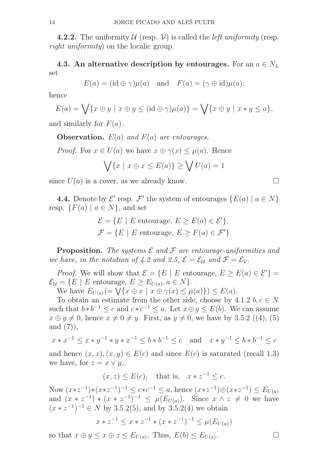**4.2.2.** The uniformity  $U$  (resp.  $V$ ) is called the *left uniformity* (resp. right uniformity) on the localic group.

4.3. An alternative description by entourages. For an  $a \in N_L$ set

$$
E(a) = (id \oplus \gamma)\mu(a)
$$
 and  $F(a) = (\gamma \oplus id)\mu(a);$ 

hence

$$
E(a) = \bigvee \{x \oplus y \mid x \oplus y \leq (id \oplus \gamma)\mu(a)\} = \bigvee \{x \oplus y \mid x * y \leq a\},\
$$

and similarly for  $F(a)$ .

**Observation.**  $E(a)$  and  $F(a)$  are entourages.

*Proof.* For  $x \in U(a)$  we have  $x \oplus \gamma(x) \leq \mu(a)$ . Hence

$$
\bigvee \{x \mid x \oplus x \le E(a)\} \ge \bigvee U(a) = 1
$$

since  $U(a)$  is a cover, as we already know.

**4.4.** Denote by  $\mathcal{E}'$  resp.  $\mathcal{F}'$  the system of entourages  $\{E(a) \mid a \in N\}$ resp.  $\{F(a) \mid a \in N\}$ , and set

$$
\mathcal{E} = \{ E \mid E \text{ entourage, } E \ge E(a) \in \mathcal{E}' \},
$$
  

$$
\mathcal{F} = \{ E \mid E \text{ entourage, } E \ge F(a) \in \mathcal{F}' \}.
$$

**Proposition.** The systems  $\mathcal E$  and  $\mathcal F$  are entourage-uniformities and we have, in the notation of 4.2 and 2.5,  $\mathcal{E} = \mathcal{E}_{\mathcal{U}}$  and  $\mathcal{F} = \mathcal{E}_{\mathcal{V}}$ .

*Proof.* We will show that  $\mathcal{E} = \{E \mid E \text{ entourage, } E \ge E(a) \in \mathcal{E}'\}$  $\mathcal{E}_{\mathcal{U}} = \{ E \mid E \text{ entourage, } E \ge E_{U(a)}, a \in N \}.$ 

We have  $E_{U(a)}(=\overline{\bigvee\{x \oplus x \mid x \oplus \gamma(x) \leq \mu(a)\}}) \leq E(a).$ 

To obtain an estimate from the other side, choose by 4.1.2  $b, c \in N$ such that  $b * b^{-1} \leq c$  and  $c * c^{-1} \leq a$ . Let  $x \oplus y \leq E(b)$ . We can assume  $x \oplus y \neq 0$ , hence  $x \neq 0 \neq y$ . First, as  $y \neq 0$ , we have by 3.5.2 ((4), (5) and  $(7)$ ,

$$
x * x^{-1} \le x * y^{-1} * y * x^{-1} \le b * b^{-1} \le c
$$
 and  $x * y^{-1} \le b * b^{-1} \le c$ 

and hence  $(x, x), (x, y) \in E(c)$  and since  $E(c)$  is saturated (recall 1.3) we have, for  $z = x \vee y$ ,

 $(x, z) \leq E(c)$ , that is,  $x * z^{-1} \leq c$ .

Now  $(x*z^{-1})*(x*z^{-1})^{-1} \leq c*c^{-1} \leq a$ , hence  $(x*z^{-1})\oplus (x*z^{-1}) \leq E_{U(a)}$ and  $(x * z^{-1}) * (x * z^{-1})^{-1} \leq \mu(E_{U(a)})$ . Since  $x \wedge z \neq 0$  we have  $(x * z^{-1})^{-1} \in N$  by 3.5.2(5), and by 3.5.2(4) we obtain

$$
x * z^{-1} \le x * z^{-1} * (x * z^{-1})^{-1} \le \mu(E_{U(a)})
$$

so that  $x \oplus y \leq x \oplus z \leq E_{U(a)}$ . Thus,  $E(b) \leq E_{U(a)}$ .<br>**.**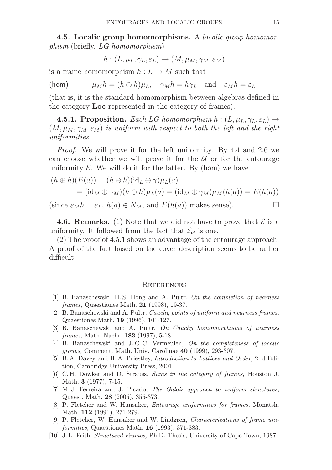4.5. Localic group homomorphisms. A *localic group homomor*phism (briefly, LG-homomorphism)

$$
h: (L, \mu_L, \gamma_L, \varepsilon_L) \to (M, \mu_M, \gamma_M, \varepsilon_M)
$$

is a frame homomorphism  $h: L \to M$  such that

(hom)  $\mu_M h = (h \oplus h)\mu_L$ ,  $\gamma_M h = h\gamma_L$  and  $\varepsilon_M h = \varepsilon_L$ 

(that is, it is the standard homomorphism between algebras defined in the category Loc represented in the category of frames).

**4.5.1. Proposition.** Each LG-homomorphism  $h: (L, \mu_L, \gamma_L, \varepsilon_L) \rightarrow$  $(M, \mu_M, \gamma_M, \varepsilon_M)$  is uniform with respect to both the left and the right uniformities.

Proof. We will prove it for the left uniformity. By 4.4 and 2.6 we can choose whether we will prove it for the  $U$  or for the entourage uniformity  $\mathcal E$ . We will do it for the latter. By (hom) we have

$$
(h \oplus h)(E(a)) = (h \oplus h)(id_L \oplus \gamma)\mu_L(a) =
$$
  
=  $(id_M \oplus \gamma_M)(h \oplus h)\mu_L(a) = (id_M \oplus \gamma_M)\mu_M(h(a)) = E(h(a))$ 

(since  $\varepsilon_M h = \varepsilon_L$ ,  $h(a) \in N_M$ , and  $E(h(a))$  makes sense).

**4.6. Remarks.** (1) Note that we did not have to prove that  $\mathcal{E}$  is a uniformity. It followed from the fact that  $\mathcal{E}_{\mathcal{U}}$  is one.

(2) The proof of 4.5.1 shows an advantage of the entourage approach. A proof of the fact based on the cover description seems to be rather difficult.

#### **REFERENCES**

- [1] B. Banaschewski, H.S. Hong and A. Pultr, On the completion of nearness frames, Quaestiones Math. 21 (1998), 19-37.
- [2] B. Banaschewski and A. Pultr, Cauchy points of uniform and nearness frames, Quaestiones Math. 19 (1996), 101-127.
- [3] B. Banaschewski and A. Pultr, On Cauchy homomorphisms of nearness frames, Math. Nachr. **183** (1997), 5-18.
- [4] B. Banaschewski and J. C. C. Vermeulen, On the completeness of localic groups, Comment. Math. Univ. Carolinae 40 (1999), 293-307.
- [5] B. A. Davey and H. A. Priestley, Introduction to Lattices and Order, 2nd Edition, Cambridge University Press, 2001.
- [6] C. H. Dowker and D. Strauss, Sums in the category of frames, Houston J. Math. 3 (1977), 7-15.
- [7] M. J. Ferreira and J. Picado, The Galois approach to uniform structures, Quaest. Math. 28 (2005), 355-373.
- [8] P. Fletcher and W. Hunsaker, Entourage uniformities for frames, Monatsh. Math. 112 (1991), 271-279.
- [9] P. Fletcher, W. Hunsaker and W. Lindgren, Characterizations of frame uniformities, Quaestiones Math. 16 (1993), 371-383.
- [10] J. L. Frith, Structured Frames, Ph.D. Thesis, University of Cape Town, 1987.